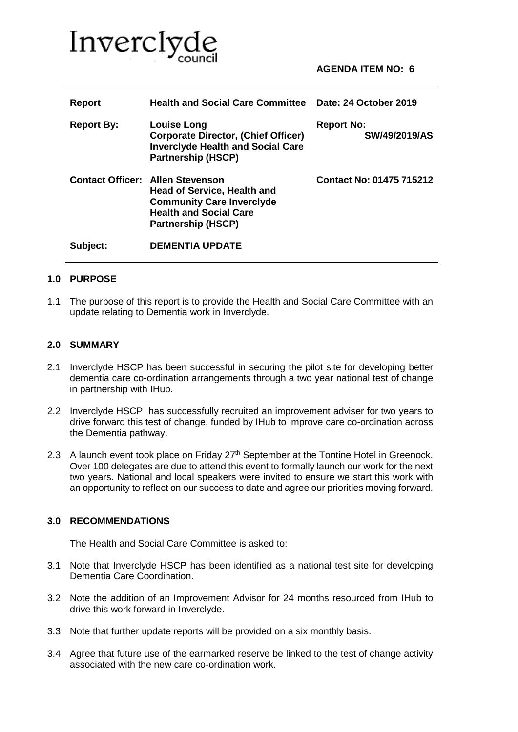

| Report            | <b>Health and Social Care Committee</b>                                                                                                                                         | Date: 24 October 2019              |
|-------------------|---------------------------------------------------------------------------------------------------------------------------------------------------------------------------------|------------------------------------|
| <b>Report By:</b> | <b>Louise Long</b><br><b>Corporate Director, (Chief Officer)</b><br><b>Inverclyde Health and Social Care</b><br><b>Partnership (HSCP)</b>                                       | <b>Report No:</b><br>SW/49/2019/AS |
|                   | <b>Contact Officer: Allen Stevenson</b><br><b>Head of Service, Health and</b><br><b>Community Care Inverclyde</b><br><b>Health and Social Care</b><br><b>Partnership (HSCP)</b> | Contact No: 01475 715212           |
| Subject:          | <b>DEMENTIA UPDATE</b>                                                                                                                                                          |                                    |

#### **1.0 PURPOSE**

1.1 The purpose of this report is to provide the Health and Social Care Committee with an update relating to Dementia work in Inverclyde.

#### **2.0 SUMMARY**

- 2.1 Inverclyde HSCP has been successful in securing the pilot site for developing better dementia care co-ordination arrangements through a two year national test of change in partnership with IHub.
- 2.2 Inverclyde HSCP has successfully recruited an improvement adviser for two years to drive forward this test of change, funded by IHub to improve care co-ordination across the Dementia pathway.
- 2.3 A launch event took place on Friday 27<sup>th</sup> September at the Tontine Hotel in Greenock. Over 100 delegates are due to attend this event to formally launch our work for the next two years. National and local speakers were invited to ensure we start this work with an opportunity to reflect on our success to date and agree our priorities moving forward.

## **3.0 RECOMMENDATIONS**

The Health and Social Care Committee is asked to:

- 3.1 Note that Inverclyde HSCP has been identified as a national test site for developing Dementia Care Coordination.
- 3.2 Note the addition of an Improvement Advisor for 24 months resourced from IHub to drive this work forward in Inverclyde.
- 3.3 Note that further update reports will be provided on a six monthly basis.
- 3.4 Agree that future use of the earmarked reserve be linked to the test of change activity associated with the new care co-ordination work.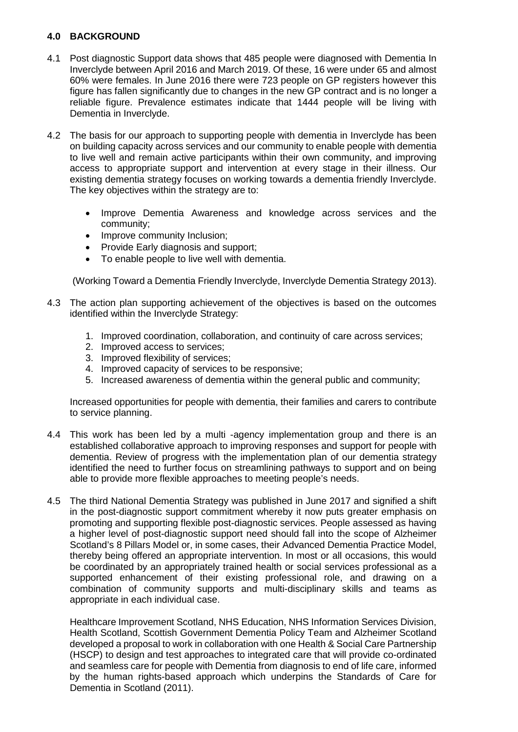# **4.0 BACKGROUND**

- 4.1 Post diagnostic Support data shows that 485 people were diagnosed with Dementia In Inverclyde between April 2016 and March 2019. Of these, 16 were under 65 and almost 60% were females. In June 2016 there were 723 people on GP registers however this figure has fallen significantly due to changes in the new GP contract and is no longer a reliable figure. Prevalence estimates indicate that 1444 people will be living with Dementia in Inverclyde.
- 4.2 The basis for our approach to supporting people with dementia in Inverclyde has been on building capacity across services and our community to enable people with dementia to live well and remain active participants within their own community, and improving access to appropriate support and intervention at every stage in their illness. Our existing dementia strategy focuses on working towards a dementia friendly Inverclyde. The key objectives within the strategy are to:
	- Improve Dementia Awareness and knowledge across services and the community;
	- Improve community Inclusion;
	- Provide Early diagnosis and support;
	- To enable people to live well with dementia.

(Working Toward a Dementia Friendly Inverclyde, Inverclyde Dementia Strategy 2013).

- 4.3 The action plan supporting achievement of the objectives is based on the outcomes identified within the Inverclyde Strategy:
	- 1. Improved coordination, collaboration, and continuity of care across services;
	- 2. Improved access to services;
	- 3. Improved flexibility of services;
	- 4. Improved capacity of services to be responsive;
	- 5. Increased awareness of dementia within the general public and community;

Increased opportunities for people with dementia, their families and carers to contribute to service planning.

- 4.4 This work has been led by a multi -agency implementation group and there is an established collaborative approach to improving responses and support for people with dementia. Review of progress with the implementation plan of our dementia strategy identified the need to further focus on streamlining pathways to support and on being able to provide more flexible approaches to meeting people's needs.
- 4.5 The third National Dementia Strategy was published in June 2017 and signified a shift in the post-diagnostic support commitment whereby it now puts greater emphasis on promoting and supporting flexible post-diagnostic services. People assessed as having a higher level of post-diagnostic support need should fall into the scope of Alzheimer Scotland's 8 Pillars Model or, in some cases, their Advanced Dementia Practice Model, thereby being offered an appropriate intervention. In most or all occasions, this would be coordinated by an appropriately trained health or social services professional as a supported enhancement of their existing professional role, and drawing on a combination of community supports and multi-disciplinary skills and teams as appropriate in each individual case.

Healthcare Improvement Scotland, NHS Education, NHS Information Services Division, Health Scotland, Scottish Government Dementia Policy Team and Alzheimer Scotland developed a proposal to work in collaboration with one Health & Social Care Partnership (HSCP) to design and test approaches to integrated care that will provide co-ordinated and seamless care for people with Dementia from diagnosis to end of life care, informed by the human rights-based approach which underpins the Standards of Care for Dementia in Scotland (2011).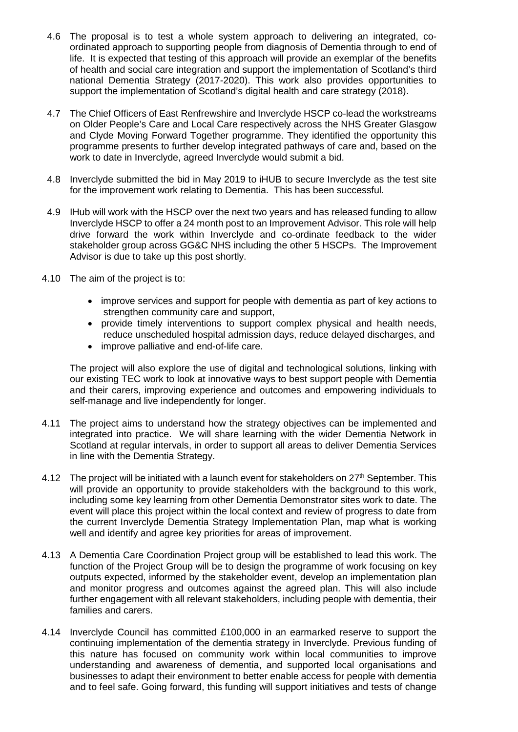- 4.6 The proposal is to test a whole system approach to delivering an integrated, coordinated approach to supporting people from diagnosis of Dementia through to end of life. It is expected that testing of this approach will provide an exemplar of the benefits of health and social care integration and support the implementation of Scotland's third national Dementia Strategy (2017-2020). This work also provides opportunities to support the implementation of Scotland's digital health and care strategy (2018).
- 4.7 The Chief Officers of East Renfrewshire and Inverclyde HSCP co-lead the workstreams on Older People's Care and Local Care respectively across the NHS Greater Glasgow and Clyde Moving Forward Together programme. They identified the opportunity this programme presents to further develop integrated pathways of care and, based on the work to date in Inverclyde, agreed Inverclyde would submit a bid.
- 4.8 Inverclyde submitted the bid in May 2019 to iHUB to secure Inverclyde as the test site for the improvement work relating to Dementia. This has been successful.
- 4.9 IHub will work with the HSCP over the next two years and has released funding to allow Inverclyde HSCP to offer a 24 month post to an Improvement Advisor. This role will help drive forward the work within Inverclyde and co-ordinate feedback to the wider stakeholder group across GG&C NHS including the other 5 HSCPs. The Improvement Advisor is due to take up this post shortly.
- 4.10 The aim of the project is to:
	- improve services and support for people with dementia as part of key actions to strengthen community care and support,
	- provide timely interventions to support complex physical and health needs, reduce unscheduled hospital admission days, reduce delayed discharges, and
	- improve palliative and end-of-life care.

The project will also explore the use of digital and technological solutions, linking with our existing TEC work to look at innovative ways to best support people with Dementia and their carers, improving experience and outcomes and empowering individuals to self-manage and live independently for longer.

- 4.11 The project aims to understand how the strategy objectives can be implemented and integrated into practice. We will share learning with the wider Dementia Network in Scotland at regular intervals, in order to support all areas to deliver Dementia Services in line with the Dementia Strategy.
- 4.12 The project will be initiated with a launch event for stakeholders on  $27<sup>th</sup>$  September. This will provide an opportunity to provide stakeholders with the background to this work, including some key learning from other Dementia Demonstrator sites work to date. The event will place this project within the local context and review of progress to date from the current Inverclyde Dementia Strategy Implementation Plan, map what is working well and identify and agree key priorities for areas of improvement.
- 4.13 A Dementia Care Coordination Project group will be established to lead this work. The function of the Project Group will be to design the programme of work focusing on key outputs expected, informed by the stakeholder event, develop an implementation plan and monitor progress and outcomes against the agreed plan. This will also include further engagement with all relevant stakeholders, including people with dementia, their families and carers.
- 4.14 Inverclyde Council has committed £100,000 in an earmarked reserve to support the continuing implementation of the dementia strategy in Inverclyde. Previous funding of this nature has focused on community work within local communities to improve understanding and awareness of dementia, and supported local organisations and businesses to adapt their environment to better enable access for people with dementia and to feel safe. Going forward, this funding will support initiatives and tests of change